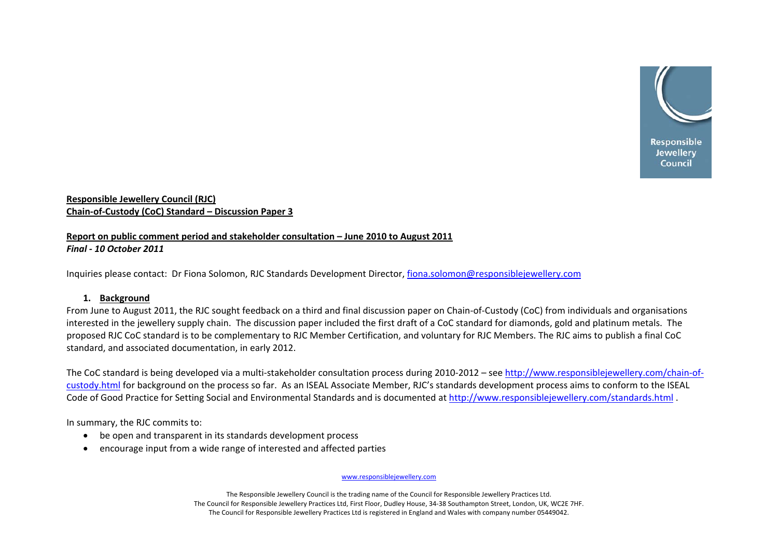

## **Responsible Jewellery Council (RJC) Chain‐of‐Custody (CoC) Standard – Discussion Paper 3**

# **Report on public comment period and stakeholder consultation – June 2010 to August 2011** *Final ‐ 10 October 2011*

Inquiries please contact: Dr Fiona Solomon, RJC Standards Development Director, [fiona.solomon@responsiblejewellery.com](mailto:fiona.solomon@responsiblejewellery.com)

## **1. Background**

From June to August 2011, the RJC sought feedback on <sup>a</sup> third and final discussion paper on Chain‐of‐Custody (CoC) from individuals and organisations interested in the jewellery supply chain. The discussion paper included the first draft of <sup>a</sup> CoC standard for diamonds, gold and platinum metals. The proposed RJC CoC standard is to be complementary to RJC Member Certification, and voluntary for RJC Members. The RJC aims to publish <sup>a</sup> final CoC standard, and associated documentation, in early 2012.

The CoC standard is being developed via a multi-stakeholder consultation process during 2010-2012 – see [http://www.responsiblejewellery.com/chain](http://www.responsiblejewellery.com/chain-of-custody.html)-of[custody.html](http://www.responsiblejewellery.com/chain-of-custody.html) for background on the process so far. As an ISEAL Associate Member, RJC's standards development process aims to conform to the ISEAL Code of Good Practice for Setting Social and Environmental Standards and is documented at <http://www.responsiblejewellery.com/standards.html> .

In summary, the RJC commits to:

- be open and transparent in its standards development process
- •encourage input from <sup>a</sup> wide range of interested and affected parties

www.responsiblejewellery.com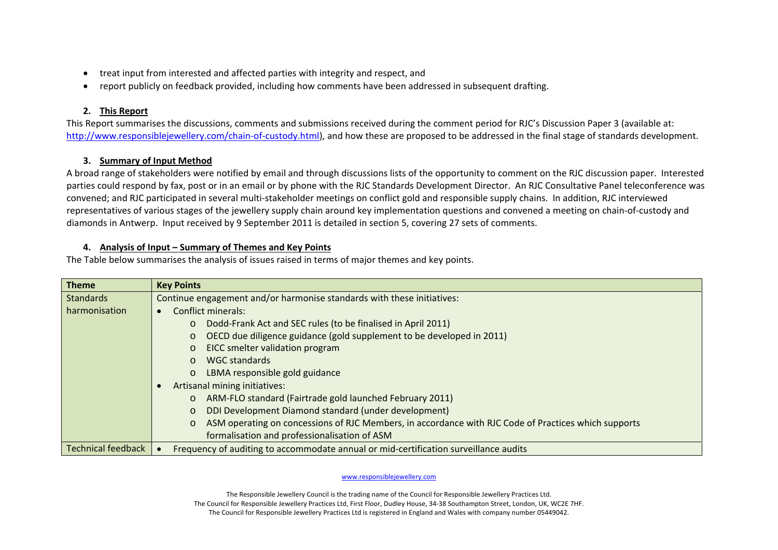- •treat input from interested and affected parties with integrity and respect, and
- $\bullet$ report publicly on feedback provided, including how comments have been addressed in subsequent drafting.

# **2. This Report**

This Report summarises the discussions, comments and submissions received during the comment period for RJC's Discussion Paper 3 (available at: [http://www.responsiblejewellery.com/chain](http://www.responsiblejewellery.com/chain-of-custody.html)-of-custody.html), and how these are proposed to be addressed in the final stage of standards development.

# **3. Summary of Input Method**

A broad range of stakeholders were notified by email and through discussions lists of the opportunity to comment on the RJC discussion paper. Interested parties could respond by fax, post or in an email or by phone with the RJC Standards Development Director. An RJC Consultative Panel teleconference was convened; and RJC participated in several multi‐stakeholder meetings on conflict gold and responsible supply chains. In addition, RJC interviewed representatives of various stages of the jewellery supply chain around key implementation questions and convened <sup>a</sup> meeting on chain‐of‐custody and diamonds in Antwerp. Input received by 9 September 2011 is detailed in section 5, covering 27 sets of comments.

## **4. Analysis of Input – Summary of Themes and Key Points**

The Table below summarises the analysis of issues raised in terms of major themes and key points.

| <b>Theme</b>              | <b>Key Points</b>                                                                                               |  |  |  |  |  |
|---------------------------|-----------------------------------------------------------------------------------------------------------------|--|--|--|--|--|
| <b>Standards</b>          | Continue engagement and/or harmonise standards with these initiatives:                                          |  |  |  |  |  |
| harmonisation             | <b>Conflict minerals:</b>                                                                                       |  |  |  |  |  |
|                           | Dodd-Frank Act and SEC rules (to be finalised in April 2011)<br>$\circ$                                         |  |  |  |  |  |
|                           | OECD due diligence guidance (gold supplement to be developed in 2011)<br>$\circ$                                |  |  |  |  |  |
|                           | EICC smelter validation program<br>$\circ$                                                                      |  |  |  |  |  |
|                           | <b>WGC standards</b><br>$\Omega$                                                                                |  |  |  |  |  |
|                           | LBMA responsible gold guidance<br>$\circ$                                                                       |  |  |  |  |  |
|                           | Artisanal mining initiatives:                                                                                   |  |  |  |  |  |
|                           | ARM-FLO standard (Fairtrade gold launched February 2011)<br>$\circ$                                             |  |  |  |  |  |
|                           | DDI Development Diamond standard (under development)<br>$\circ$                                                 |  |  |  |  |  |
|                           | ASM operating on concessions of RJC Members, in accordance with RJC Code of Practices which supports<br>$\circ$ |  |  |  |  |  |
|                           | formalisation and professionalisation of ASM                                                                    |  |  |  |  |  |
| <b>Technical feedback</b> | Frequency of auditing to accommodate annual or mid-certification surveillance audits                            |  |  |  |  |  |

www.responsiblejewellery.com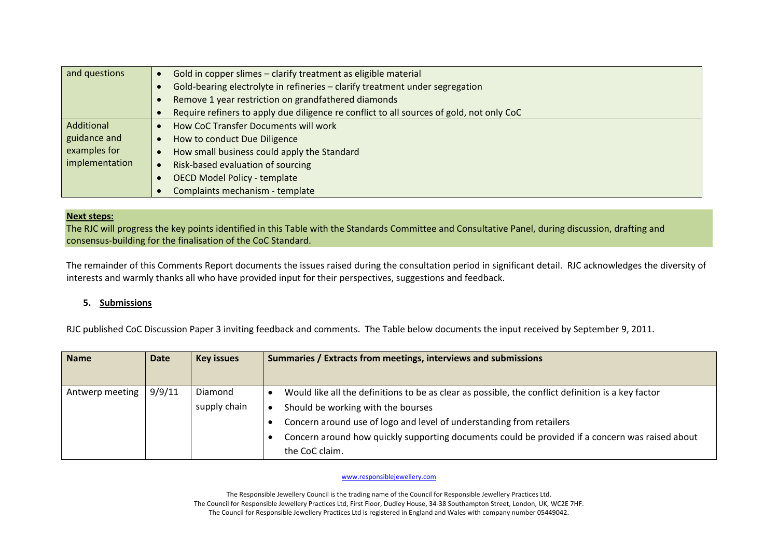| and questions  | Gold in copper slimes - clarify treatment as eligible material<br>$\bullet$              |
|----------------|------------------------------------------------------------------------------------------|
|                | Gold-bearing electrolyte in refineries - clarify treatment under segregation             |
|                | Remove 1 year restriction on grandfathered diamonds<br>$\bullet$                         |
|                | Require refiners to apply due diligence re conflict to all sources of gold, not only CoC |
| Additional     | How CoC Transfer Documents will work                                                     |
| guidance and   | How to conduct Due Diligence<br>$\bullet$                                                |
| examples for   | How small business could apply the Standard                                              |
| implementation | Risk-based evaluation of sourcing<br>$\bullet$                                           |
|                | <b>OECD Model Policy - template</b><br>$\bullet$                                         |
|                | Complaints mechanism - template                                                          |

### **Next steps:**

The RJC will progress the key points identified in this Table with the Standards Committee and Consultative Panel, during discussion, drafting and consensus‐building for the finalisation of the CoC Standard.

The remainder of this Comments Report documents the issues raised during the consultation period in significant detail. RJC acknowledges the diversity of interests and warmly thanks all who have provided input for their perspectives, suggestions and feedback.

## **5. Submissions**

RJC published CoC Discussion Paper 3 inviting feedback and comments. The Table below documents the input received by September 9, 2011.

| <b>Name</b>     | <b>Date</b> | <b>Key issues</b>       | Summaries / Extracts from meetings, interviews and submissions                                                                                                                                                                                                                                                                        |
|-----------------|-------------|-------------------------|---------------------------------------------------------------------------------------------------------------------------------------------------------------------------------------------------------------------------------------------------------------------------------------------------------------------------------------|
| Antwerp meeting | 9/9/11      | Diamond<br>supply chain | Would like all the definitions to be as clear as possible, the conflict definition is a key factor<br>Should be working with the bourses<br>Concern around use of logo and level of understanding from retailers<br>Concern around how quickly supporting documents could be provided if a concern was raised about<br>the CoC claim. |

www.responsiblejewellery.com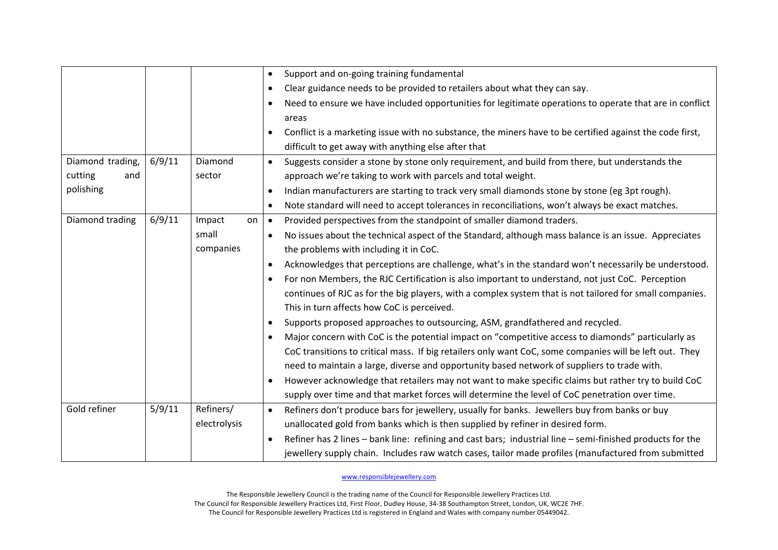|                  |        |              |           | Support and on-going training fundamental                                                                 |
|------------------|--------|--------------|-----------|-----------------------------------------------------------------------------------------------------------|
|                  |        |              | $\bullet$ | Clear guidance needs to be provided to retailers about what they can say.                                 |
|                  |        |              | $\bullet$ | Need to ensure we have included opportunities for legitimate operations to operate that are in conflict   |
|                  |        |              |           | areas                                                                                                     |
|                  |        |              | $\bullet$ | Conflict is a marketing issue with no substance, the miners have to be certified against the code first,  |
|                  |        |              |           | difficult to get away with anything else after that                                                       |
| Diamond trading, | 6/9/11 | Diamond      | $\bullet$ | Suggests consider a stone by stone only requirement, and build from there, but understands the            |
| cutting<br>and   |        | sector       |           | approach we're taking to work with parcels and total weight.                                              |
| polishing        |        |              | $\bullet$ | Indian manufacturers are starting to track very small diamonds stone by stone (eg 3pt rough).             |
|                  |        |              | $\bullet$ | Note standard will need to accept tolerances in reconciliations, won't always be exact matches.           |
| Diamond trading  | 6/9/11 | Impact<br>on | $\bullet$ | Provided perspectives from the standpoint of smaller diamond traders.                                     |
|                  |        | small        | $\bullet$ | No issues about the technical aspect of the Standard, although mass balance is an issue. Appreciates      |
|                  |        | companies    |           | the problems with including it in CoC.                                                                    |
|                  |        |              | $\bullet$ | Acknowledges that perceptions are challenge, what's in the standard won't necessarily be understood.      |
|                  |        |              | $\bullet$ | For non Members, the RJC Certification is also important to understand, not just CoC. Perception          |
|                  |        |              |           | continues of RJC as for the big players, with a complex system that is not tailored for small companies.  |
|                  |        |              |           | This in turn affects how CoC is perceived.                                                                |
|                  |        |              | $\bullet$ | Supports proposed approaches to outsourcing, ASM, grandfathered and recycled.                             |
|                  |        |              | $\bullet$ | Major concern with CoC is the potential impact on "competitive access to diamonds" particularly as        |
|                  |        |              |           | CoC transitions to critical mass. If big retailers only want CoC, some companies will be left out. They   |
|                  |        |              |           | need to maintain a large, diverse and opportunity based network of suppliers to trade with.               |
|                  |        |              | $\bullet$ | However acknowledge that retailers may not want to make specific claims but rather try to build CoC       |
|                  |        |              |           | supply over time and that market forces will determine the level of CoC penetration over time.            |
| Gold refiner     | 5/9/11 | Refiners/    | $\bullet$ | Refiners don't produce bars for jewellery, usually for banks. Jewellers buy from banks or buy             |
|                  |        | electrolysis |           | unallocated gold from banks which is then supplied by refiner in desired form.                            |
|                  |        |              | $\bullet$ | Refiner has 2 lines - bank line: refining and cast bars; industrial line - semi-finished products for the |
|                  |        |              |           | jewellery supply chain. Includes raw watch cases, tailor made profiles (manufactured from submitted       |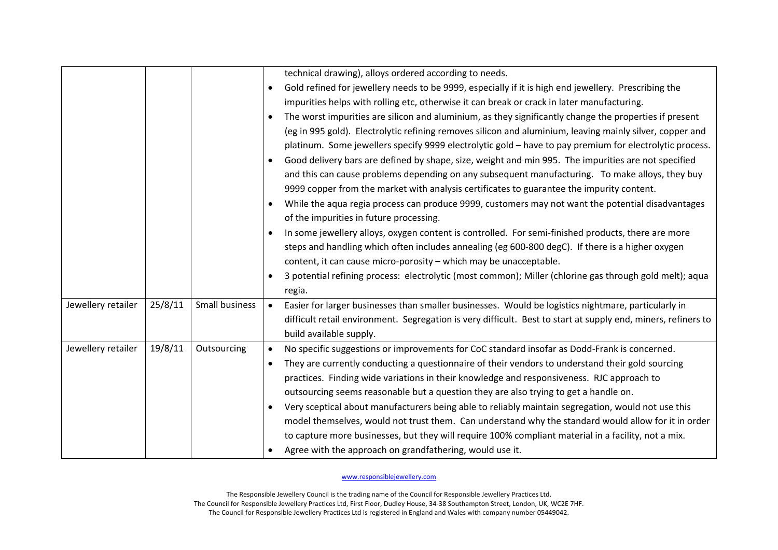|                    |         |                | technical drawing), alloys ordered according to needs.<br>Gold refined for jewellery needs to be 9999, especially if it is high end jewellery. Prescribing the<br>$\bullet$<br>impurities helps with rolling etc, otherwise it can break or crack in later manufacturing.<br>The worst impurities are silicon and aluminium, as they significantly change the properties if present<br>(eg in 995 gold). Electrolytic refining removes silicon and aluminium, leaving mainly silver, copper and<br>platinum. Some jewellers specify 9999 electrolytic gold - have to pay premium for electrolytic process.<br>Good delivery bars are defined by shape, size, weight and min 995. The impurities are not specified<br>$\bullet$<br>and this can cause problems depending on any subsequent manufacturing. To make alloys, they buy<br>9999 copper from the market with analysis certificates to guarantee the impurity content.<br>While the aqua regia process can produce 9999, customers may not want the potential disadvantages<br>$\bullet$<br>of the impurities in future processing.<br>In some jewellery alloys, oxygen content is controlled. For semi-finished products, there are more<br>steps and handling which often includes annealing (eg 600-800 degC). If there is a higher oxygen<br>content, it can cause micro-porosity - which may be unacceptable.<br>3 potential refining process: electrolytic (most common); Miller (chlorine gas through gold melt); aqua<br>regia. |
|--------------------|---------|----------------|-------------------------------------------------------------------------------------------------------------------------------------------------------------------------------------------------------------------------------------------------------------------------------------------------------------------------------------------------------------------------------------------------------------------------------------------------------------------------------------------------------------------------------------------------------------------------------------------------------------------------------------------------------------------------------------------------------------------------------------------------------------------------------------------------------------------------------------------------------------------------------------------------------------------------------------------------------------------------------------------------------------------------------------------------------------------------------------------------------------------------------------------------------------------------------------------------------------------------------------------------------------------------------------------------------------------------------------------------------------------------------------------------------------------------------------------------------------------------------------------------|
| Jewellery retailer | 25/8/11 | Small business | Easier for larger businesses than smaller businesses. Would be logistics nightmare, particularly in<br>difficult retail environment. Segregation is very difficult. Best to start at supply end, miners, refiners to<br>build available supply.                                                                                                                                                                                                                                                                                                                                                                                                                                                                                                                                                                                                                                                                                                                                                                                                                                                                                                                                                                                                                                                                                                                                                                                                                                                 |
| Jewellery retailer | 19/8/11 | Outsourcing    | No specific suggestions or improvements for CoC standard insofar as Dodd-Frank is concerned.<br>They are currently conducting a questionnaire of their vendors to understand their gold sourcing<br>$\bullet$<br>practices. Finding wide variations in their knowledge and responsiveness. RJC approach to<br>outsourcing seems reasonable but a question they are also trying to get a handle on.<br>Very sceptical about manufacturers being able to reliably maintain segregation, would not use this<br>model themselves, would not trust them. Can understand why the standard would allow for it in order<br>to capture more businesses, but they will require 100% compliant material in a facility, not a mix.<br>Agree with the approach on grandfathering, would use it.                                                                                                                                                                                                                                                                                                                                                                                                                                                                                                                                                                                                                                                                                                              |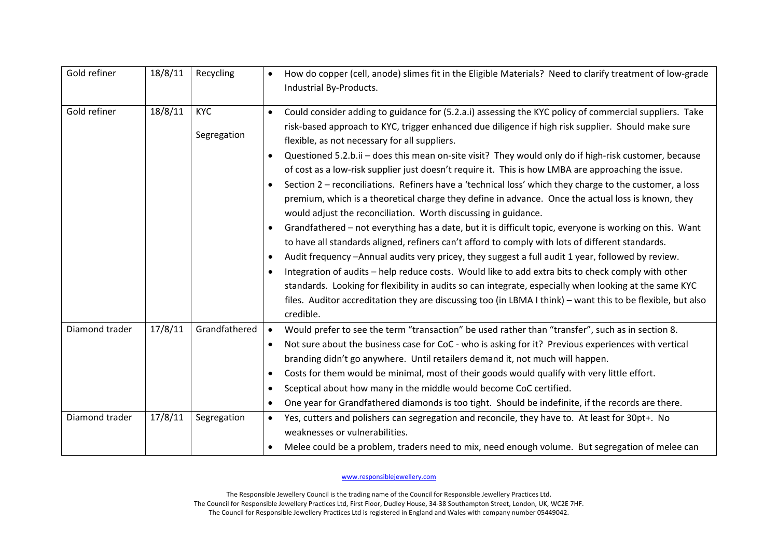| Gold refiner                     | 18/8/11            | Recycling                    | How do copper (cell, anode) slimes fit in the Eligible Materials? Need to clarify treatment of low-grade<br>$\bullet$<br>Industrial By-Products.                                                                                                                                                                                                                                                                                                                                                                                                                                                                                                                                                                                                                                                                                                                                                                                                                                                                                                                                                                                                                                                                                                                                                                                                                                                                                                                                                               |
|----------------------------------|--------------------|------------------------------|----------------------------------------------------------------------------------------------------------------------------------------------------------------------------------------------------------------------------------------------------------------------------------------------------------------------------------------------------------------------------------------------------------------------------------------------------------------------------------------------------------------------------------------------------------------------------------------------------------------------------------------------------------------------------------------------------------------------------------------------------------------------------------------------------------------------------------------------------------------------------------------------------------------------------------------------------------------------------------------------------------------------------------------------------------------------------------------------------------------------------------------------------------------------------------------------------------------------------------------------------------------------------------------------------------------------------------------------------------------------------------------------------------------------------------------------------------------------------------------------------------------|
| Gold refiner                     | 18/8/11            | <b>KYC</b><br>Segregation    | Could consider adding to guidance for (5.2.a.i) assessing the KYC policy of commercial suppliers. Take<br>$\bullet$<br>risk-based approach to KYC, trigger enhanced due diligence if high risk supplier. Should make sure<br>flexible, as not necessary for all suppliers.<br>Questioned 5.2.b.ii - does this mean on-site visit? They would only do if high-risk customer, because<br>$\bullet$<br>of cost as a low-risk supplier just doesn't require it. This is how LMBA are approaching the issue.<br>Section 2 - reconciliations. Refiners have a 'technical loss' which they charge to the customer, a loss<br>$\bullet$<br>premium, which is a theoretical charge they define in advance. Once the actual loss is known, they<br>would adjust the reconciliation. Worth discussing in guidance.<br>Grandfathered - not everything has a date, but it is difficult topic, everyone is working on this. Want<br>$\bullet$<br>to have all standards aligned, refiners can't afford to comply with lots of different standards.<br>Audit frequency -Annual audits very pricey, they suggest a full audit 1 year, followed by review.<br>$\bullet$<br>Integration of audits - help reduce costs. Would like to add extra bits to check comply with other<br>$\bullet$<br>standards. Looking for flexibility in audits so can integrate, especially when looking at the same KYC<br>files. Auditor accreditation they are discussing too (in LBMA I think) - want this to be flexible, but also<br>credible. |
| Diamond trader<br>Diamond trader | 17/8/11<br>17/8/11 | Grandfathered<br>Segregation | Would prefer to see the term "transaction" be used rather than "transfer", such as in section 8.<br>$\bullet$<br>Not sure about the business case for CoC - who is asking for it? Previous experiences with vertical<br>$\bullet$<br>branding didn't go anywhere. Until retailers demand it, not much will happen.<br>Costs for them would be minimal, most of their goods would qualify with very little effort.<br>$\bullet$<br>Sceptical about how many in the middle would become CoC certified.<br>$\bullet$<br>One year for Grandfathered diamonds is too tight. Should be indefinite, if the records are there.<br>Yes, cutters and polishers can segregation and reconcile, they have to. At least for 30pt+. No                                                                                                                                                                                                                                                                                                                                                                                                                                                                                                                                                                                                                                                                                                                                                                                       |
|                                  |                    |                              | weaknesses or vulnerabilities.<br>Melee could be a problem, traders need to mix, need enough volume. But segregation of melee can                                                                                                                                                                                                                                                                                                                                                                                                                                                                                                                                                                                                                                                                                                                                                                                                                                                                                                                                                                                                                                                                                                                                                                                                                                                                                                                                                                              |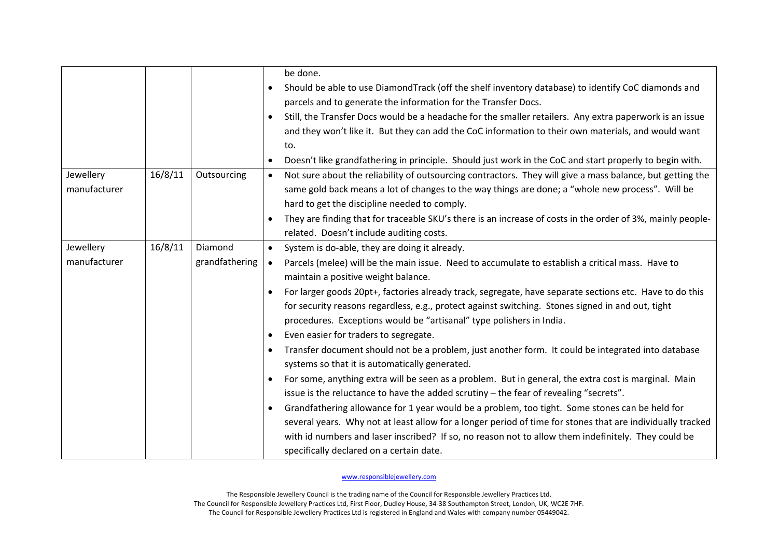|                           |         |                           | be done.<br>Should be able to use DiamondTrack (off the shelf inventory database) to identify CoC diamonds and<br>parcels and to generate the information for the Transfer Docs.<br>Still, the Transfer Docs would be a headache for the smaller retailers. Any extra paperwork is an issue<br>$\bullet$<br>and they won't like it. But they can add the CoC information to their own materials, and would want<br>to.<br>Doesn't like grandfathering in principle. Should just work in the CoC and start properly to begin with.<br>$\bullet$                                                                                                                                                                                                                                                                                                                                                                                                                                                                                                                                                                                                                                                                                                                                               |
|---------------------------|---------|---------------------------|----------------------------------------------------------------------------------------------------------------------------------------------------------------------------------------------------------------------------------------------------------------------------------------------------------------------------------------------------------------------------------------------------------------------------------------------------------------------------------------------------------------------------------------------------------------------------------------------------------------------------------------------------------------------------------------------------------------------------------------------------------------------------------------------------------------------------------------------------------------------------------------------------------------------------------------------------------------------------------------------------------------------------------------------------------------------------------------------------------------------------------------------------------------------------------------------------------------------------------------------------------------------------------------------|
| Jewellery<br>manufacturer | 16/8/11 | Outsourcing               | Not sure about the reliability of outsourcing contractors. They will give a mass balance, but getting the<br>$\bullet$<br>same gold back means a lot of changes to the way things are done; a "whole new process". Will be<br>hard to get the discipline needed to comply.<br>They are finding that for traceable SKU's there is an increase of costs in the order of 3%, mainly people-<br>related. Doesn't include auditing costs.                                                                                                                                                                                                                                                                                                                                                                                                                                                                                                                                                                                                                                                                                                                                                                                                                                                         |
| Jewellery<br>manufacturer | 16/8/11 | Diamond<br>grandfathering | System is do-able, they are doing it already.<br>$\bullet$<br>Parcels (melee) will be the main issue. Need to accumulate to establish a critical mass. Have to<br>$\bullet$<br>maintain a positive weight balance.<br>For larger goods 20pt+, factories already track, segregate, have separate sections etc. Have to do this<br>for security reasons regardless, e.g., protect against switching. Stones signed in and out, tight<br>procedures. Exceptions would be "artisanal" type polishers in India.<br>Even easier for traders to segregate.<br>Transfer document should not be a problem, just another form. It could be integrated into database<br>systems so that it is automatically generated.<br>For some, anything extra will be seen as a problem. But in general, the extra cost is marginal. Main<br>$\bullet$<br>issue is the reluctance to have the added scrutiny - the fear of revealing "secrets".<br>Grandfathering allowance for 1 year would be a problem, too tight. Some stones can be held for<br>several years. Why not at least allow for a longer period of time for stones that are individually tracked<br>with id numbers and laser inscribed? If so, no reason not to allow them indefinitely. They could be<br>specifically declared on a certain date. |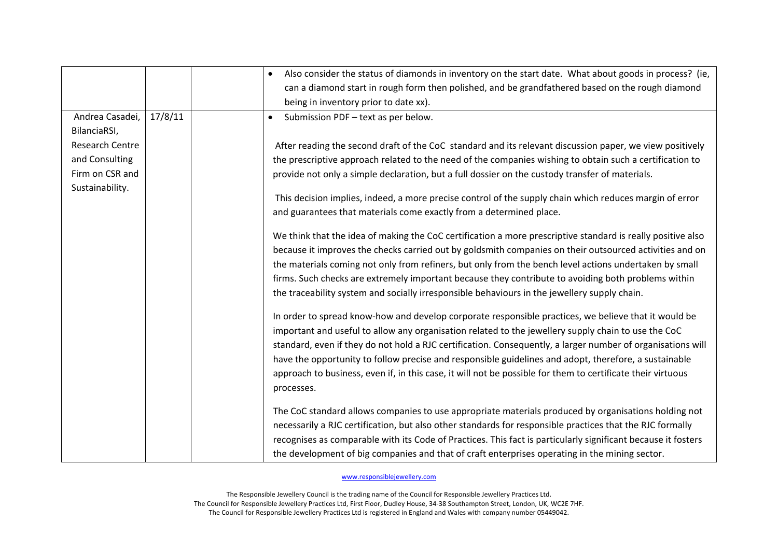|                        |         | Also consider the status of diamonds in inventory on the start date. What about goods in process? (ie,        |
|------------------------|---------|---------------------------------------------------------------------------------------------------------------|
|                        |         | can a diamond start in rough form then polished, and be grandfathered based on the rough diamond              |
|                        |         | being in inventory prior to date xx).                                                                         |
| Andrea Casadei,        | 17/8/11 | Submission PDF - text as per below.<br>$\bullet$                                                              |
| BilanciaRSI,           |         |                                                                                                               |
| <b>Research Centre</b> |         | After reading the second draft of the CoC standard and its relevant discussion paper, we view positively      |
| and Consulting         |         | the prescriptive approach related to the need of the companies wishing to obtain such a certification to      |
| Firm on CSR and        |         | provide not only a simple declaration, but a full dossier on the custody transfer of materials.               |
| Sustainability.        |         |                                                                                                               |
|                        |         | This decision implies, indeed, a more precise control of the supply chain which reduces margin of error       |
|                        |         | and guarantees that materials come exactly from a determined place.                                           |
|                        |         | We think that the idea of making the CoC certification a more prescriptive standard is really positive also   |
|                        |         | because it improves the checks carried out by goldsmith companies on their outsourced activities and on       |
|                        |         | the materials coming not only from refiners, but only from the bench level actions undertaken by small        |
|                        |         | firms. Such checks are extremely important because they contribute to avoiding both problems within           |
|                        |         | the traceability system and socially irresponsible behaviours in the jewellery supply chain.                  |
|                        |         | In order to spread know-how and develop corporate responsible practices, we believe that it would be          |
|                        |         | important and useful to allow any organisation related to the jewellery supply chain to use the CoC           |
|                        |         | standard, even if they do not hold a RJC certification. Consequently, a larger number of organisations will   |
|                        |         | have the opportunity to follow precise and responsible guidelines and adopt, therefore, a sustainable         |
|                        |         | approach to business, even if, in this case, it will not be possible for them to certificate their virtuous   |
|                        |         | processes.                                                                                                    |
|                        |         | The CoC standard allows companies to use appropriate materials produced by organisations holding not          |
|                        |         | necessarily a RJC certification, but also other standards for responsible practices that the RJC formally     |
|                        |         | recognises as comparable with its Code of Practices. This fact is particularly significant because it fosters |
|                        |         | the development of big companies and that of craft enterprises operating in the mining sector.                |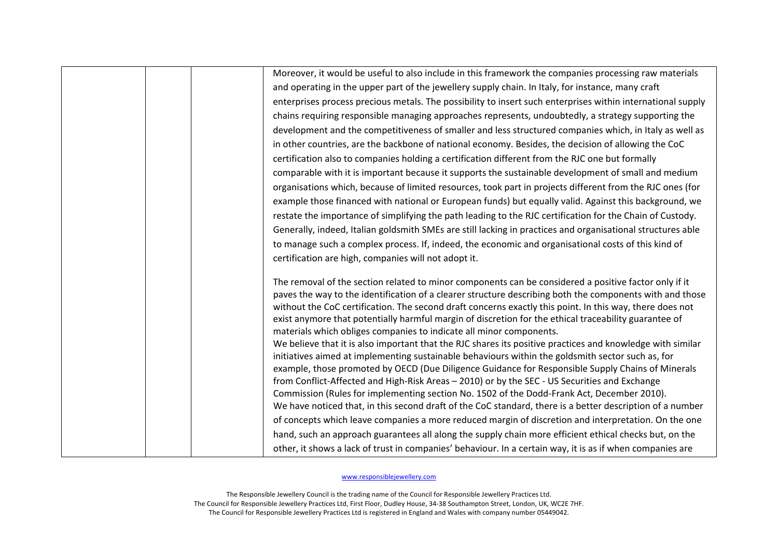| Moreover, it would be useful to also include in this framework the companies processing raw materials                                                                        |
|------------------------------------------------------------------------------------------------------------------------------------------------------------------------------|
| and operating in the upper part of the jewellery supply chain. In Italy, for instance, many craft                                                                            |
| enterprises process precious metals. The possibility to insert such enterprises within international supply                                                                  |
| chains requiring responsible managing approaches represents, undoubtedly, a strategy supporting the                                                                          |
| development and the competitiveness of smaller and less structured companies which, in Italy as well as                                                                      |
| in other countries, are the backbone of national economy. Besides, the decision of allowing the CoC                                                                          |
| certification also to companies holding a certification different from the RJC one but formally                                                                              |
| comparable with it is important because it supports the sustainable development of small and medium                                                                          |
| organisations which, because of limited resources, took part in projects different from the RJC ones (for                                                                    |
| example those financed with national or European funds) but equally valid. Against this background, we                                                                       |
| restate the importance of simplifying the path leading to the RJC certification for the Chain of Custody.                                                                    |
| Generally, indeed, Italian goldsmith SMEs are still lacking in practices and organisational structures able                                                                  |
| to manage such a complex process. If, indeed, the economic and organisational costs of this kind of                                                                          |
| certification are high, companies will not adopt it.                                                                                                                         |
|                                                                                                                                                                              |
| The removal of the section related to minor components can be considered a positive factor only if it                                                                        |
| paves the way to the identification of a clearer structure describing both the components with and those                                                                     |
| without the CoC certification. The second draft concerns exactly this point. In this way, there does not                                                                     |
| exist anymore that potentially harmful margin of discretion for the ethical traceability guarantee of<br>materials which obliges companies to indicate all minor components. |
| We believe that it is also important that the RJC shares its positive practices and knowledge with similar                                                                   |
| initiatives aimed at implementing sustainable behaviours within the goldsmith sector such as, for                                                                            |
| example, those promoted by OECD (Due Diligence Guidance for Responsible Supply Chains of Minerals                                                                            |
| from Conflict-Affected and High-Risk Areas - 2010) or by the SEC - US Securities and Exchange                                                                                |
| Commission (Rules for implementing section No. 1502 of the Dodd-Frank Act, December 2010).                                                                                   |
| We have noticed that, in this second draft of the CoC standard, there is a better description of a number                                                                    |
| of concepts which leave companies a more reduced margin of discretion and interpretation. On the one                                                                         |
| hand, such an approach guarantees all along the supply chain more efficient ethical checks but, on the                                                                       |
| other, it shows a lack of trust in companies' behaviour. In a certain way, it is as if when companies are                                                                    |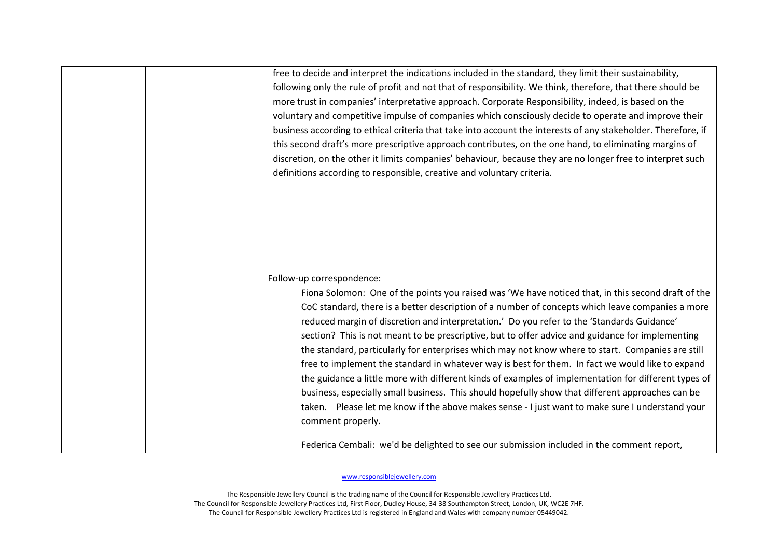| free to decide and interpret the indications included in the standard, they limit their sustainability,<br>following only the rule of profit and not that of responsibility. We think, therefore, that there should be<br>more trust in companies' interpretative approach. Corporate Responsibility, indeed, is based on the<br>voluntary and competitive impulse of companies which consciously decide to operate and improve their<br>business according to ethical criteria that take into account the interests of any stakeholder. Therefore, if<br>this second draft's more prescriptive approach contributes, on the one hand, to eliminating margins of<br>discretion, on the other it limits companies' behaviour, because they are no longer free to interpret such<br>definitions according to responsible, creative and voluntary criteria.                                                                                                                                                                                                                        |
|---------------------------------------------------------------------------------------------------------------------------------------------------------------------------------------------------------------------------------------------------------------------------------------------------------------------------------------------------------------------------------------------------------------------------------------------------------------------------------------------------------------------------------------------------------------------------------------------------------------------------------------------------------------------------------------------------------------------------------------------------------------------------------------------------------------------------------------------------------------------------------------------------------------------------------------------------------------------------------------------------------------------------------------------------------------------------------|
| Follow-up correspondence:<br>Fiona Solomon: One of the points you raised was 'We have noticed that, in this second draft of the<br>CoC standard, there is a better description of a number of concepts which leave companies a more<br>reduced margin of discretion and interpretation.' Do you refer to the 'Standards Guidance'<br>section? This is not meant to be prescriptive, but to offer advice and guidance for implementing<br>the standard, particularly for enterprises which may not know where to start. Companies are still<br>free to implement the standard in whatever way is best for them. In fact we would like to expand<br>the guidance a little more with different kinds of examples of implementation for different types of<br>business, especially small business. This should hopefully show that different approaches can be<br>taken. Please let me know if the above makes sense - I just want to make sure I understand your<br>comment properly.<br>Federica Cembali: we'd be delighted to see our submission included in the comment report, |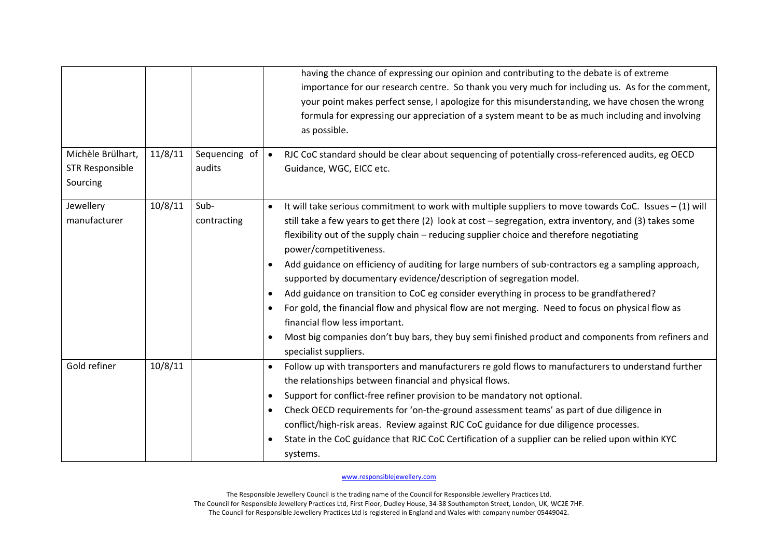|                                                         |         |                         | having the chance of expressing our opinion and contributing to the debate is of extreme<br>importance for our research centre. So thank you very much for including us. As for the comment,<br>your point makes perfect sense, I apologize for this misunderstanding, we have chosen the wrong<br>formula for expressing our appreciation of a system meant to be as much including and involving<br>as possible.                                                                                                                                                                                                                                                                                                                                                                                                                                                                                                              |
|---------------------------------------------------------|---------|-------------------------|---------------------------------------------------------------------------------------------------------------------------------------------------------------------------------------------------------------------------------------------------------------------------------------------------------------------------------------------------------------------------------------------------------------------------------------------------------------------------------------------------------------------------------------------------------------------------------------------------------------------------------------------------------------------------------------------------------------------------------------------------------------------------------------------------------------------------------------------------------------------------------------------------------------------------------|
| Michèle Brülhart,<br><b>STR Responsible</b><br>Sourcing | 11/8/11 | Sequencing of<br>audits | RJC CoC standard should be clear about sequencing of potentially cross-referenced audits, eg OECD<br>$\bullet$<br>Guidance, WGC, EICC etc.                                                                                                                                                                                                                                                                                                                                                                                                                                                                                                                                                                                                                                                                                                                                                                                      |
| Jewellery<br>manufacturer                               | 10/8/11 | Sub-<br>contracting     | It will take serious commitment to work with multiple suppliers to move towards CoC. Issues $-(1)$ will<br>$\bullet$<br>still take a few years to get there (2) look at cost - segregation, extra inventory, and (3) takes some<br>flexibility out of the supply chain - reducing supplier choice and therefore negotiating<br>power/competitiveness.<br>Add guidance on efficiency of auditing for large numbers of sub-contractors eg a sampling approach,<br>$\bullet$<br>supported by documentary evidence/description of segregation model.<br>Add guidance on transition to CoC eg consider everything in process to be grandfathered?<br>$\bullet$<br>For gold, the financial flow and physical flow are not merging. Need to focus on physical flow as<br>financial flow less important.<br>Most big companies don't buy bars, they buy semi finished product and components from refiners and<br>specialist suppliers. |
| Gold refiner                                            | 10/8/11 |                         | Follow up with transporters and manufacturers re gold flows to manufacturers to understand further<br>the relationships between financial and physical flows.<br>Support for conflict-free refiner provision to be mandatory not optional.<br>$\bullet$<br>Check OECD requirements for 'on-the-ground assessment teams' as part of due diligence in<br>$\bullet$<br>conflict/high-risk areas. Review against RJC CoC guidance for due diligence processes.<br>State in the CoC guidance that RJC CoC Certification of a supplier can be relied upon within KYC<br>systems.                                                                                                                                                                                                                                                                                                                                                      |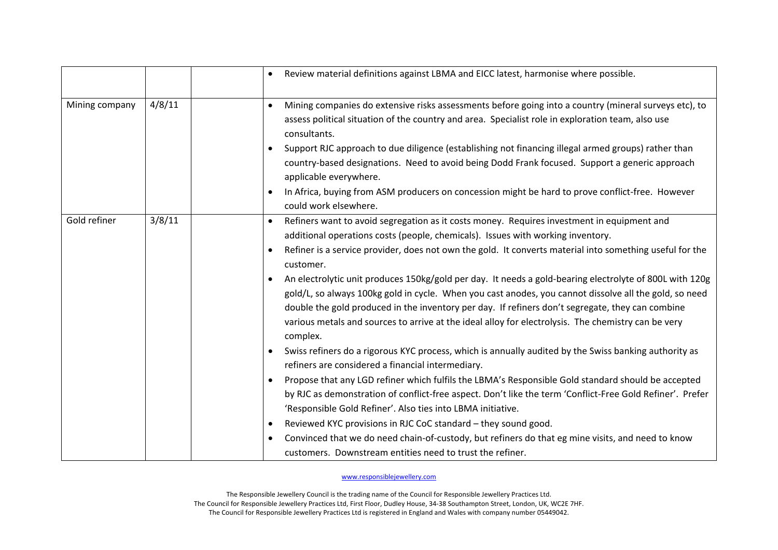|                |        | Review material definitions against LBMA and EICC latest, harmonise where possible.                                                                                                                                                                                                                                                                                                                                                                                                                                                                                                                                                                                                                                                                                                                                                                                                                                                                                                                                                                                                                                                                                                                                                                                                                                                                                                                                                                                                                                  |
|----------------|--------|----------------------------------------------------------------------------------------------------------------------------------------------------------------------------------------------------------------------------------------------------------------------------------------------------------------------------------------------------------------------------------------------------------------------------------------------------------------------------------------------------------------------------------------------------------------------------------------------------------------------------------------------------------------------------------------------------------------------------------------------------------------------------------------------------------------------------------------------------------------------------------------------------------------------------------------------------------------------------------------------------------------------------------------------------------------------------------------------------------------------------------------------------------------------------------------------------------------------------------------------------------------------------------------------------------------------------------------------------------------------------------------------------------------------------------------------------------------------------------------------------------------------|
| Mining company | 4/8/11 | Mining companies do extensive risks assessments before going into a country (mineral surveys etc), to<br>$\bullet$<br>assess political situation of the country and area. Specialist role in exploration team, also use<br>consultants.<br>Support RJC approach to due diligence (establishing not financing illegal armed groups) rather than<br>$\bullet$<br>country-based designations. Need to avoid being Dodd Frank focused. Support a generic approach<br>applicable everywhere.<br>In Africa, buying from ASM producers on concession might be hard to prove conflict-free. However<br>$\bullet$<br>could work elsewhere.                                                                                                                                                                                                                                                                                                                                                                                                                                                                                                                                                                                                                                                                                                                                                                                                                                                                                    |
| Gold refiner   | 3/8/11 | Refiners want to avoid segregation as it costs money. Requires investment in equipment and<br>$\bullet$<br>additional operations costs (people, chemicals). Issues with working inventory.<br>Refiner is a service provider, does not own the gold. It converts material into something useful for the<br>$\bullet$<br>customer.<br>An electrolytic unit produces 150kg/gold per day. It needs a gold-bearing electrolyte of 800L with 120g<br>gold/L, so always 100kg gold in cycle. When you cast anodes, you cannot dissolve all the gold, so need<br>double the gold produced in the inventory per day. If refiners don't segregate, they can combine<br>various metals and sources to arrive at the ideal alloy for electrolysis. The chemistry can be very<br>complex.<br>Swiss refiners do a rigorous KYC process, which is annually audited by the Swiss banking authority as<br>$\bullet$<br>refiners are considered a financial intermediary.<br>Propose that any LGD refiner which fulfils the LBMA's Responsible Gold standard should be accepted<br>$\bullet$<br>by RJC as demonstration of conflict-free aspect. Don't like the term 'Conflict-Free Gold Refiner'. Prefer<br>'Responsible Gold Refiner'. Also ties into LBMA initiative.<br>Reviewed KYC provisions in RJC CoC standard - they sound good.<br>$\bullet$<br>Convinced that we do need chain-of-custody, but refiners do that eg mine visits, and need to know<br>$\bullet$<br>customers. Downstream entities need to trust the refiner. |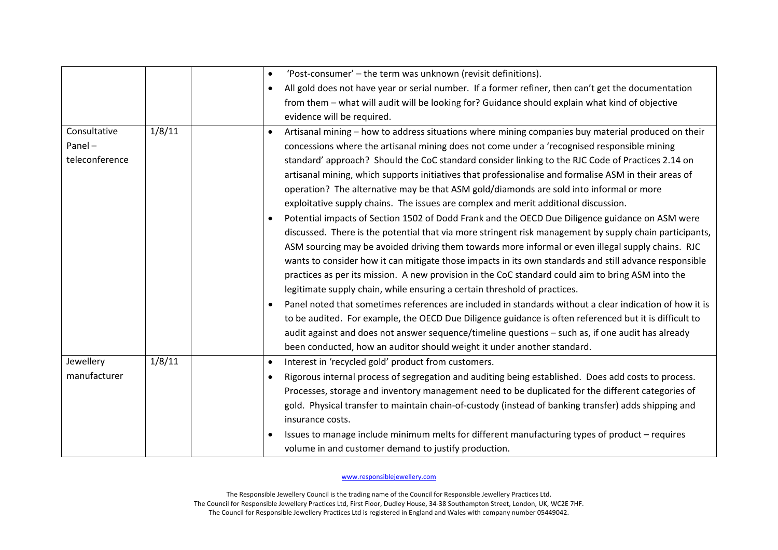|                                                    | 'Post-consumer' - the term was unknown (revisit definitions).<br>$\bullet$                                                                                                                                                                                                                                                                                                                                                                                                                                                                                                                                                                                                                                                                                                                                                                                                                                                                                                                                                                                                                                                                                                                                                                                                                                                                                                                                                                                                                                                                 |
|----------------------------------------------------|--------------------------------------------------------------------------------------------------------------------------------------------------------------------------------------------------------------------------------------------------------------------------------------------------------------------------------------------------------------------------------------------------------------------------------------------------------------------------------------------------------------------------------------------------------------------------------------------------------------------------------------------------------------------------------------------------------------------------------------------------------------------------------------------------------------------------------------------------------------------------------------------------------------------------------------------------------------------------------------------------------------------------------------------------------------------------------------------------------------------------------------------------------------------------------------------------------------------------------------------------------------------------------------------------------------------------------------------------------------------------------------------------------------------------------------------------------------------------------------------------------------------------------------------|
|                                                    | All gold does not have year or serial number. If a former refiner, then can't get the documentation<br>$\bullet$                                                                                                                                                                                                                                                                                                                                                                                                                                                                                                                                                                                                                                                                                                                                                                                                                                                                                                                                                                                                                                                                                                                                                                                                                                                                                                                                                                                                                           |
|                                                    | from them - what will audit will be looking for? Guidance should explain what kind of objective                                                                                                                                                                                                                                                                                                                                                                                                                                                                                                                                                                                                                                                                                                                                                                                                                                                                                                                                                                                                                                                                                                                                                                                                                                                                                                                                                                                                                                            |
|                                                    | evidence will be required.                                                                                                                                                                                                                                                                                                                                                                                                                                                                                                                                                                                                                                                                                                                                                                                                                                                                                                                                                                                                                                                                                                                                                                                                                                                                                                                                                                                                                                                                                                                 |
| 1/8/11<br>Consultative<br>Panel-<br>teleconference | Artisanal mining - how to address situations where mining companies buy material produced on their<br>concessions where the artisanal mining does not come under a 'recognised responsible mining<br>standard' approach? Should the CoC standard consider linking to the RJC Code of Practices 2.14 on<br>artisanal mining, which supports initiatives that professionalise and formalise ASM in their areas of<br>operation? The alternative may be that ASM gold/diamonds are sold into informal or more<br>exploitative supply chains. The issues are complex and merit additional discussion.<br>Potential impacts of Section 1502 of Dodd Frank and the OECD Due Diligence guidance on ASM were<br>discussed. There is the potential that via more stringent risk management by supply chain participants,<br>ASM sourcing may be avoided driving them towards more informal or even illegal supply chains. RJC<br>wants to consider how it can mitigate those impacts in its own standards and still advance responsible<br>practices as per its mission. A new provision in the CoC standard could aim to bring ASM into the<br>legitimate supply chain, while ensuring a certain threshold of practices.<br>Panel noted that sometimes references are included in standards without a clear indication of how it is<br>to be audited. For example, the OECD Due Diligence guidance is often referenced but it is difficult to<br>audit against and does not answer sequence/timeline questions - such as, if one audit has already |
| 1/8/11<br>Jewellery                                | been conducted, how an auditor should weight it under another standard.<br>Interest in 'recycled gold' product from customers.<br>$\bullet$                                                                                                                                                                                                                                                                                                                                                                                                                                                                                                                                                                                                                                                                                                                                                                                                                                                                                                                                                                                                                                                                                                                                                                                                                                                                                                                                                                                                |
| manufacturer                                       |                                                                                                                                                                                                                                                                                                                                                                                                                                                                                                                                                                                                                                                                                                                                                                                                                                                                                                                                                                                                                                                                                                                                                                                                                                                                                                                                                                                                                                                                                                                                            |
|                                                    | Rigorous internal process of segregation and auditing being established. Does add costs to process.<br>$\bullet$<br>Processes, storage and inventory management need to be duplicated for the different categories of<br>gold. Physical transfer to maintain chain-of-custody (instead of banking transfer) adds shipping and<br>insurance costs.                                                                                                                                                                                                                                                                                                                                                                                                                                                                                                                                                                                                                                                                                                                                                                                                                                                                                                                                                                                                                                                                                                                                                                                          |
|                                                    | Issues to manage include minimum melts for different manufacturing types of product - requires<br>volume in and customer demand to justify production.                                                                                                                                                                                                                                                                                                                                                                                                                                                                                                                                                                                                                                                                                                                                                                                                                                                                                                                                                                                                                                                                                                                                                                                                                                                                                                                                                                                     |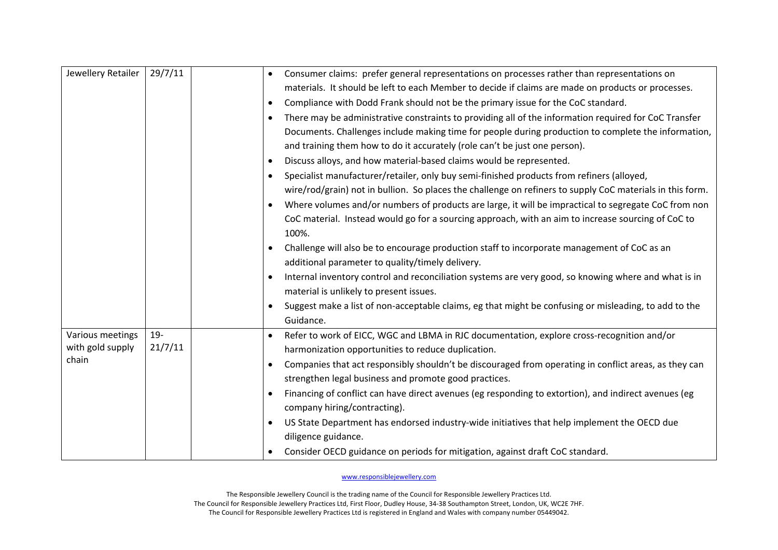| Jewellery Retailer<br>29/7/11                                      | Consumer claims: prefer general representations on processes rather than representations on<br>materials. It should be left to each Member to decide if claims are made on products or processes.<br>Compliance with Dodd Frank should not be the primary issue for the CoC standard.<br>$\bullet$<br>There may be administrative constraints to providing all of the information required for CoC Transfer<br>Documents. Challenges include making time for people during production to complete the information,<br>and training them how to do it accurately (role can't be just one person).<br>Discuss alloys, and how material-based claims would be represented.<br>$\bullet$<br>Specialist manufacturer/retailer, only buy semi-finished products from refiners (alloyed,<br>wire/rod/grain) not in bullion. So places the challenge on refiners to supply CoC materials in this form.<br>Where volumes and/or numbers of products are large, it will be impractical to segregate CoC from non<br>$\bullet$<br>CoC material. Instead would go for a sourcing approach, with an aim to increase sourcing of CoC to<br>100%.<br>Challenge will also be to encourage production staff to incorporate management of CoC as an<br>$\bullet$<br>additional parameter to quality/timely delivery.<br>Internal inventory control and reconciliation systems are very good, so knowing where and what is in<br>material is unlikely to present issues.<br>Suggest make a list of non-acceptable claims, eg that might be confusing or misleading, to add to the<br>Guidance. |
|--------------------------------------------------------------------|-----------------------------------------------------------------------------------------------------------------------------------------------------------------------------------------------------------------------------------------------------------------------------------------------------------------------------------------------------------------------------------------------------------------------------------------------------------------------------------------------------------------------------------------------------------------------------------------------------------------------------------------------------------------------------------------------------------------------------------------------------------------------------------------------------------------------------------------------------------------------------------------------------------------------------------------------------------------------------------------------------------------------------------------------------------------------------------------------------------------------------------------------------------------------------------------------------------------------------------------------------------------------------------------------------------------------------------------------------------------------------------------------------------------------------------------------------------------------------------------------------------------------------------------------------------------------------|
| $19 -$<br>Various meetings<br>21/7/11<br>with gold supply<br>chain | Refer to work of EICC, WGC and LBMA in RJC documentation, explore cross-recognition and/or<br>harmonization opportunities to reduce duplication.<br>Companies that act responsibly shouldn't be discouraged from operating in conflict areas, as they can<br>$\bullet$<br>strengthen legal business and promote good practices.<br>Financing of conflict can have direct avenues (eg responding to extortion), and indirect avenues (eg<br>company hiring/contracting).<br>US State Department has endorsed industry-wide initiatives that help implement the OECD due<br>diligence guidance.<br>Consider OECD guidance on periods for mitigation, against draft CoC standard.                                                                                                                                                                                                                                                                                                                                                                                                                                                                                                                                                                                                                                                                                                                                                                                                                                                                                              |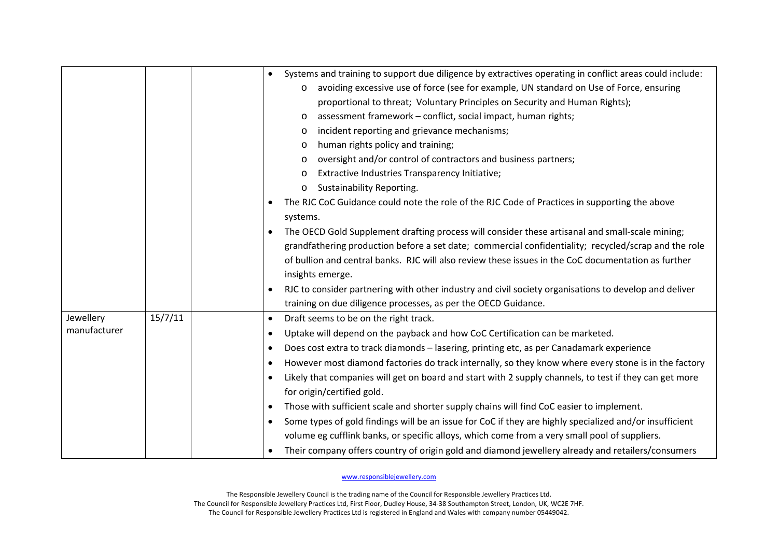|              |         | Systems and training to support due diligence by extractives operating in conflict areas could include:<br>$\bullet$<br>avoiding excessive use of force (see for example, UN standard on Use of Force, ensuring<br>$\circ$<br>proportional to threat; Voluntary Principles on Security and Human Rights);<br>assessment framework - conflict, social impact, human rights;<br>$\circ$<br>incident reporting and grievance mechanisms;<br>$\circ$<br>human rights policy and training;<br>$\circ$<br>oversight and/or control of contractors and business partners;<br>$\circ$<br>Extractive Industries Transparency Initiative;<br>$\circ$<br>Sustainability Reporting.<br>$\circ$<br>The RJC CoC Guidance could note the role of the RJC Code of Practices in supporting the above<br>systems.<br>The OECD Gold Supplement drafting process will consider these artisanal and small-scale mining;<br>$\bullet$<br>grandfathering production before a set date; commercial confidentiality; recycled/scrap and the role |
|--------------|---------|-------------------------------------------------------------------------------------------------------------------------------------------------------------------------------------------------------------------------------------------------------------------------------------------------------------------------------------------------------------------------------------------------------------------------------------------------------------------------------------------------------------------------------------------------------------------------------------------------------------------------------------------------------------------------------------------------------------------------------------------------------------------------------------------------------------------------------------------------------------------------------------------------------------------------------------------------------------------------------------------------------------------------|
|              |         | of bullion and central banks. RJC will also review these issues in the CoC documentation as further<br>insights emerge.                                                                                                                                                                                                                                                                                                                                                                                                                                                                                                                                                                                                                                                                                                                                                                                                                                                                                                 |
|              |         | RJC to consider partnering with other industry and civil society organisations to develop and deliver<br>$\bullet$<br>training on due diligence processes, as per the OECD Guidance.                                                                                                                                                                                                                                                                                                                                                                                                                                                                                                                                                                                                                                                                                                                                                                                                                                    |
| Jewellery    | 15/7/11 | Draft seems to be on the right track.<br>$\bullet$                                                                                                                                                                                                                                                                                                                                                                                                                                                                                                                                                                                                                                                                                                                                                                                                                                                                                                                                                                      |
| manufacturer |         | Uptake will depend on the payback and how CoC Certification can be marketed.<br>$\bullet$                                                                                                                                                                                                                                                                                                                                                                                                                                                                                                                                                                                                                                                                                                                                                                                                                                                                                                                               |
|              |         | Does cost extra to track diamonds - lasering, printing etc, as per Canadamark experience<br>$\bullet$                                                                                                                                                                                                                                                                                                                                                                                                                                                                                                                                                                                                                                                                                                                                                                                                                                                                                                                   |
|              |         | However most diamond factories do track internally, so they know where every stone is in the factory<br>$\bullet$                                                                                                                                                                                                                                                                                                                                                                                                                                                                                                                                                                                                                                                                                                                                                                                                                                                                                                       |
|              |         | Likely that companies will get on board and start with 2 supply channels, to test if they can get more<br>$\bullet$<br>for origin/certified gold.                                                                                                                                                                                                                                                                                                                                                                                                                                                                                                                                                                                                                                                                                                                                                                                                                                                                       |
|              |         | Those with sufficient scale and shorter supply chains will find CoC easier to implement.<br>$\bullet$                                                                                                                                                                                                                                                                                                                                                                                                                                                                                                                                                                                                                                                                                                                                                                                                                                                                                                                   |
|              |         | Some types of gold findings will be an issue for CoC if they are highly specialized and/or insufficient<br>$\bullet$                                                                                                                                                                                                                                                                                                                                                                                                                                                                                                                                                                                                                                                                                                                                                                                                                                                                                                    |
|              |         | volume eg cufflink banks, or specific alloys, which come from a very small pool of suppliers.                                                                                                                                                                                                                                                                                                                                                                                                                                                                                                                                                                                                                                                                                                                                                                                                                                                                                                                           |
|              |         | Their company offers country of origin gold and diamond jewellery already and retailers/consumers                                                                                                                                                                                                                                                                                                                                                                                                                                                                                                                                                                                                                                                                                                                                                                                                                                                                                                                       |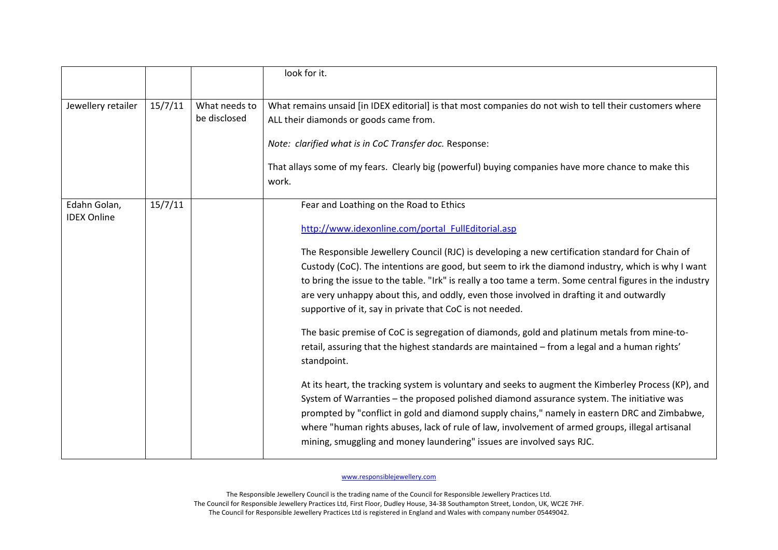|                                    |         |                               | look for it.                                                                                                                                                                                                                                                                                                                                                                                                                                                                                                                                                                                                                                                                                                                                                                                                                                                                                                                                                                                                                                                                                                                                                                                                                                                              |
|------------------------------------|---------|-------------------------------|---------------------------------------------------------------------------------------------------------------------------------------------------------------------------------------------------------------------------------------------------------------------------------------------------------------------------------------------------------------------------------------------------------------------------------------------------------------------------------------------------------------------------------------------------------------------------------------------------------------------------------------------------------------------------------------------------------------------------------------------------------------------------------------------------------------------------------------------------------------------------------------------------------------------------------------------------------------------------------------------------------------------------------------------------------------------------------------------------------------------------------------------------------------------------------------------------------------------------------------------------------------------------|
| Jewellery retailer                 | 15/7/11 | What needs to<br>be disclosed | What remains unsaid [in IDEX editorial] is that most companies do not wish to tell their customers where<br>ALL their diamonds or goods came from.<br>Note: clarified what is in CoC Transfer doc. Response:<br>That allays some of my fears. Clearly big (powerful) buying companies have more chance to make this<br>work.                                                                                                                                                                                                                                                                                                                                                                                                                                                                                                                                                                                                                                                                                                                                                                                                                                                                                                                                              |
| Edahn Golan,<br><b>IDEX Online</b> | 15/7/11 |                               | Fear and Loathing on the Road to Ethics<br>http://www.idexonline.com/portal FullEditorial.asp<br>The Responsible Jewellery Council (RJC) is developing a new certification standard for Chain of<br>Custody (CoC). The intentions are good, but seem to irk the diamond industry, which is why I want<br>to bring the issue to the table. "Irk" is really a too tame a term. Some central figures in the industry<br>are very unhappy about this, and oddly, even those involved in drafting it and outwardly<br>supportive of it, say in private that CoC is not needed.<br>The basic premise of CoC is segregation of diamonds, gold and platinum metals from mine-to-<br>retail, assuring that the highest standards are maintained - from a legal and a human rights'<br>standpoint.<br>At its heart, the tracking system is voluntary and seeks to augment the Kimberley Process (KP), and<br>System of Warranties - the proposed polished diamond assurance system. The initiative was<br>prompted by "conflict in gold and diamond supply chains," namely in eastern DRC and Zimbabwe,<br>where "human rights abuses, lack of rule of law, involvement of armed groups, illegal artisanal<br>mining, smuggling and money laundering" issues are involved says RJC. |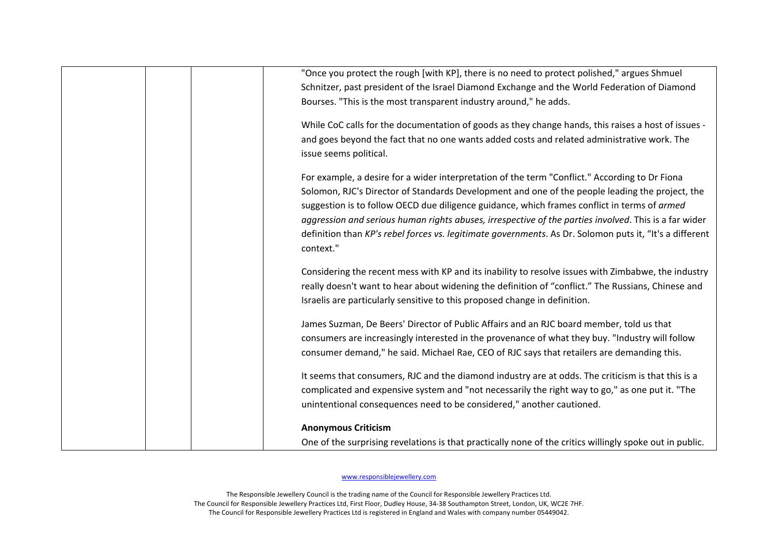| "Once you protect the rough [with KP], there is no need to protect polished," argues Shmuel              |
|----------------------------------------------------------------------------------------------------------|
| Schnitzer, past president of the Israel Diamond Exchange and the World Federation of Diamond             |
| Bourses. "This is the most transparent industry around," he adds.                                        |
| While CoC calls for the documentation of goods as they change hands, this raises a host of issues -      |
| and goes beyond the fact that no one wants added costs and related administrative work. The              |
| issue seems political.                                                                                   |
| For example, a desire for a wider interpretation of the term "Conflict." According to Dr Fiona           |
| Solomon, RJC's Director of Standards Development and one of the people leading the project, the          |
| suggestion is to follow OECD due diligence guidance, which frames conflict in terms of armed             |
| aggression and serious human rights abuses, irrespective of the parties involved. This is a far wider    |
| definition than KP's rebel forces vs. legitimate governments. As Dr. Solomon puts it, "It's a different  |
| context."                                                                                                |
| Considering the recent mess with KP and its inability to resolve issues with Zimbabwe, the industry      |
| really doesn't want to hear about widening the definition of "conflict." The Russians, Chinese and       |
| Israelis are particularly sensitive to this proposed change in definition.                               |
| James Suzman, De Beers' Director of Public Affairs and an RJC board member, told us that                 |
| consumers are increasingly interested in the provenance of what they buy. "Industry will follow          |
| consumer demand," he said. Michael Rae, CEO of RJC says that retailers are demanding this.               |
| It seems that consumers, RJC and the diamond industry are at odds. The criticism is that this is a       |
| complicated and expensive system and "not necessarily the right way to go," as one put it. "The          |
| unintentional consequences need to be considered," another cautioned.                                    |
| <b>Anonymous Criticism</b>                                                                               |
| One of the surprising revelations is that practically none of the critics willingly spoke out in public. |